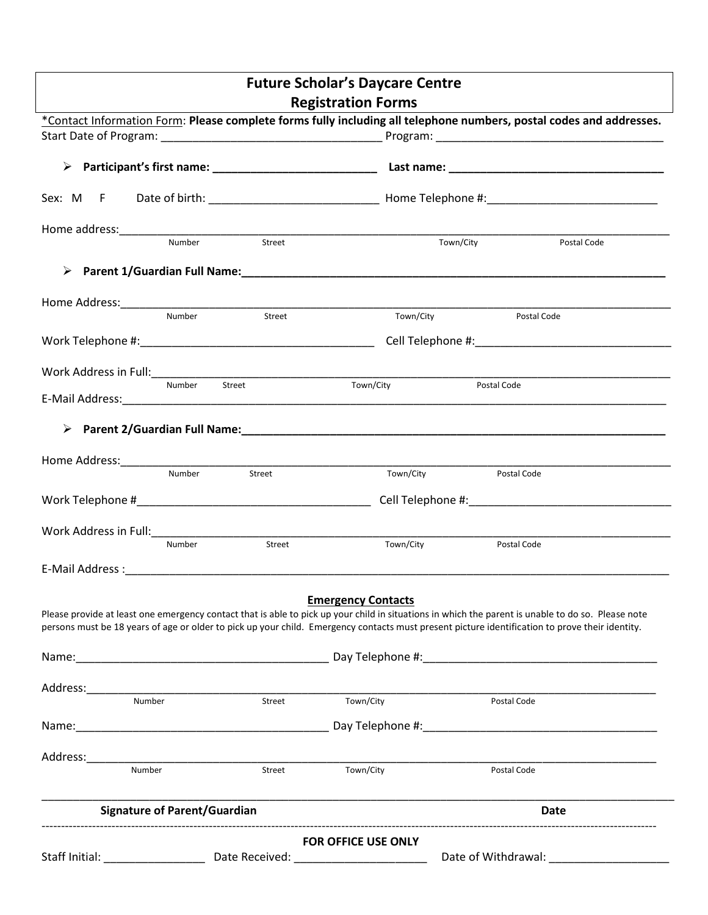| <b>Future Scholar's Daycare Centre</b>                                                                                                                                                                                                                                                                |        |                            |             |             |  |
|-------------------------------------------------------------------------------------------------------------------------------------------------------------------------------------------------------------------------------------------------------------------------------------------------------|--------|----------------------------|-------------|-------------|--|
|                                                                                                                                                                                                                                                                                                       |        | <b>Registration Forms</b>  |             |             |  |
| *Contact Information Form: Please complete forms fully including all telephone numbers, postal codes and addresses.                                                                                                                                                                                   |        |                            |             |             |  |
|                                                                                                                                                                                                                                                                                                       |        |                            |             |             |  |
|                                                                                                                                                                                                                                                                                                       |        |                            |             |             |  |
|                                                                                                                                                                                                                                                                                                       |        |                            |             |             |  |
| Number                                                                                                                                                                                                                                                                                                | Street |                            | Town/City   | Postal Code |  |
|                                                                                                                                                                                                                                                                                                       |        |                            |             |             |  |
|                                                                                                                                                                                                                                                                                                       |        |                            |             |             |  |
| Number                                                                                                                                                                                                                                                                                                | Street | Town/City                  | Postal Code |             |  |
|                                                                                                                                                                                                                                                                                                       |        |                            |             |             |  |
| Work Address in Full:___________                                                                                                                                                                                                                                                                      |        |                            |             |             |  |
| Number                                                                                                                                                                                                                                                                                                | Street | Town/City                  | Postal Code |             |  |
|                                                                                                                                                                                                                                                                                                       |        |                            |             |             |  |
|                                                                                                                                                                                                                                                                                                       |        |                            |             |             |  |
|                                                                                                                                                                                                                                                                                                       |        |                            |             |             |  |
| Number                                                                                                                                                                                                                                                                                                | Street | Town/City                  | Postal Code |             |  |
|                                                                                                                                                                                                                                                                                                       |        |                            |             |             |  |
|                                                                                                                                                                                                                                                                                                       |        |                            |             |             |  |
| Number                                                                                                                                                                                                                                                                                                | Street | Town/City                  | Postal Code |             |  |
|                                                                                                                                                                                                                                                                                                       |        |                            |             |             |  |
|                                                                                                                                                                                                                                                                                                       |        |                            |             |             |  |
| Please provide at least one emergency contact that is able to pick up your child in situations in which the parent is unable to do so. Please note<br>persons must be 18 years of age or older to pick up your child. Emergency contacts must present picture identification to prove their identity. |        | <b>Emergency Contacts</b>  |             |             |  |
|                                                                                                                                                                                                                                                                                                       |        |                            |             |             |  |
|                                                                                                                                                                                                                                                                                                       |        |                            |             |             |  |
| Number                                                                                                                                                                                                                                                                                                | Street | Town/City                  | Postal Code |             |  |
|                                                                                                                                                                                                                                                                                                       |        |                            |             |             |  |
|                                                                                                                                                                                                                                                                                                       |        |                            |             |             |  |
|                                                                                                                                                                                                                                                                                                       |        |                            |             |             |  |
| Number                                                                                                                                                                                                                                                                                                | Street | Town/City                  | Postal Code |             |  |
| <b>Signature of Parent/Guardian</b>                                                                                                                                                                                                                                                                   |        |                            |             | Date        |  |
|                                                                                                                                                                                                                                                                                                       |        | <b>FOR OFFICE USE ONLY</b> |             |             |  |
| Staff Initial: _________________________________Date Received: __________________                                                                                                                                                                                                                     |        |                            |             |             |  |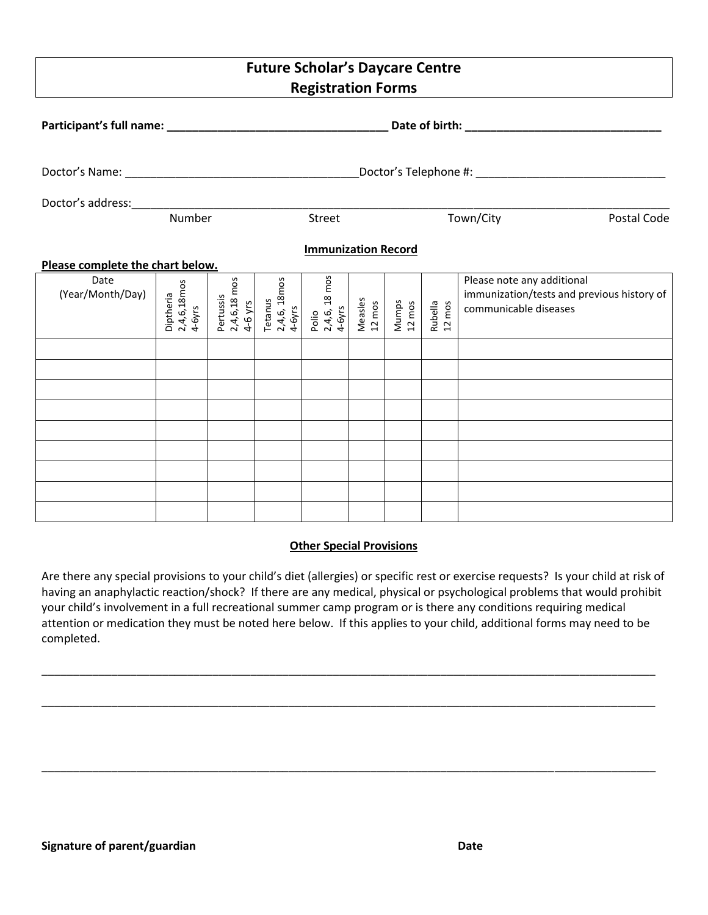# **Future Scholar's Daycare Centre Registration Forms**

|                                  | Number                             | Street |                                                                           |                                  |                   | Town/City<br>Postal Code |                   |                                                                                                   |
|----------------------------------|------------------------------------|--------|---------------------------------------------------------------------------|----------------------------------|-------------------|--------------------------|-------------------|---------------------------------------------------------------------------------------------------|
| <b>Immunization Record</b>       |                                    |        |                                                                           |                                  |                   |                          |                   |                                                                                                   |
| Please complete the chart below. |                                    |        |                                                                           |                                  |                   |                          |                   |                                                                                                   |
| Date<br>(Year/Month/Day)         | 2,4,6,18mos<br>4-6yrs<br>Diptheria |        | Pertussis<br>2,4,6,18 mos<br>4-6 yrs<br>Tetanus<br>2,4,6, 18mos<br>4-6yrs | Polio<br>2,4,6, 18 mos<br>4-6yrs | Measles<br>12 mos | Mumps<br>12 mos          | Rubella<br>12 mos | Please note any additional<br>immunization/tests and previous history of<br>communicable diseases |
|                                  |                                    |        |                                                                           |                                  |                   |                          |                   |                                                                                                   |
|                                  |                                    |        |                                                                           |                                  |                   |                          |                   |                                                                                                   |
|                                  |                                    |        |                                                                           |                                  |                   |                          |                   |                                                                                                   |
|                                  |                                    |        |                                                                           |                                  |                   |                          |                   |                                                                                                   |
|                                  |                                    |        |                                                                           |                                  |                   |                          |                   |                                                                                                   |
|                                  |                                    |        |                                                                           |                                  |                   |                          |                   |                                                                                                   |
|                                  |                                    |        |                                                                           |                                  |                   |                          |                   |                                                                                                   |
|                                  |                                    |        |                                                                           |                                  |                   |                          |                   |                                                                                                   |
|                                  |                                    |        |                                                                           |                                  |                   |                          |                   |                                                                                                   |

### **Other Special Provisions**

Are there any special provisions to your child's diet (allergies) or specific rest or exercise requests? Is your child at risk of having an anaphylactic reaction/shock? If there are any medical, physical or psychological problems that would prohibit your child's involvement in a full recreational summer camp program or is there any conditions requiring medical attention or medication they must be noted here below. If this applies to your child, additional forms may need to be completed.

\_\_\_\_\_\_\_\_\_\_\_\_\_\_\_\_\_\_\_\_\_\_\_\_\_\_\_\_\_\_\_\_\_\_\_\_\_\_\_\_\_\_\_\_\_\_\_\_\_\_\_\_\_\_\_\_\_\_\_\_\_\_\_\_\_\_\_\_\_\_\_\_\_\_\_\_\_\_\_\_\_\_\_\_\_\_\_\_\_\_\_\_\_\_\_\_\_

\_\_\_\_\_\_\_\_\_\_\_\_\_\_\_\_\_\_\_\_\_\_\_\_\_\_\_\_\_\_\_\_\_\_\_\_\_\_\_\_\_\_\_\_\_\_\_\_\_\_\_\_\_\_\_\_\_\_\_\_\_\_\_\_\_\_\_\_\_\_\_\_\_\_\_\_\_\_\_\_\_\_\_\_\_\_\_\_\_\_\_\_\_\_\_\_\_

\_\_\_\_\_\_\_\_\_\_\_\_\_\_\_\_\_\_\_\_\_\_\_\_\_\_\_\_\_\_\_\_\_\_\_\_\_\_\_\_\_\_\_\_\_\_\_\_\_\_\_\_\_\_\_\_\_\_\_\_\_\_\_\_\_\_\_\_\_\_\_\_\_\_\_\_\_\_\_\_\_\_\_\_\_\_\_\_\_\_\_\_\_\_\_\_\_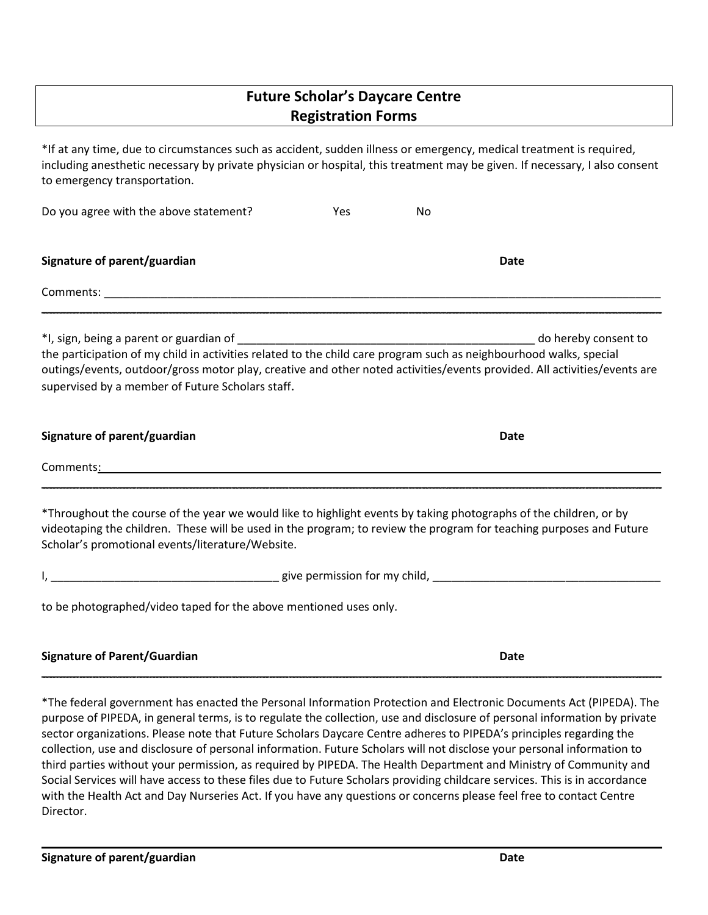# **Future Scholar's Daycare Centre Registration Forms**

\*If at any time, due to circumstances such as accident, sudden illness or emergency, medical treatment is required, including anesthetic necessary by private physician or hospital, this treatment may be given. If necessary, I also consent to emergency transportation.

| Do you agree with the above statement?                                                                                                                                                                                                                                                             | Yes. | No |                                                                                                                |  |
|----------------------------------------------------------------------------------------------------------------------------------------------------------------------------------------------------------------------------------------------------------------------------------------------------|------|----|----------------------------------------------------------------------------------------------------------------|--|
| Signature of parent/guardian                                                                                                                                                                                                                                                                       |      |    | <b>Date</b>                                                                                                    |  |
|                                                                                                                                                                                                                                                                                                    |      |    |                                                                                                                |  |
| the participation of my child in activities related to the child care program such as neighbourhood walks, special<br>outings/events, outdoor/gross motor play, creative and other noted activities/events provided. All activities/events are<br>supervised by a member of Future Scholars staff. |      |    | do hereby consent to                                                                                           |  |
| Signature of parent/guardian                                                                                                                                                                                                                                                                       |      |    | <b>Date</b>                                                                                                    |  |
| Comments <u>: Comments: Comments: Comments: Comments: Comments: Comments: Comments: Comments: Comments: Comments: Comments: Comments: Comments: Comments: Comments: Comments: Comments: Comments: Comments: Comments: Comments: C</u>                                                              |      |    |                                                                                                                |  |
|                                                                                                                                                                                                                                                                                                    |      |    | rende alle provincia della contra contra la contra la contra la contra la contra della contra della contra del |  |

\*Throughout the course of the year we would like to highlight events by taking photographs of the children, or by videotaping the children. These will be used in the program; to review the program for teaching purposes and Future Scholar's promotional events/literature/Website.

| child<br><b>nermission</b><br><b>OIVA</b><br>ግ\⁄<br>וחז<br>$\sim$ $\sim$ |
|--------------------------------------------------------------------------|
|                                                                          |

to be photographed/video taped for the above mentioned uses only.

| <b>Signature of Parent/Guardian</b> | Date |
|-------------------------------------|------|
|                                     |      |

\*The federal government has enacted the Personal Information Protection and Electronic Documents Act (PIPEDA). The purpose of PIPEDA, in general terms, is to regulate the collection, use and disclosure of personal information by private sector organizations. Please note that Future Scholars Daycare Centre adheres to PIPEDA's principles regarding the collection, use and disclosure of personal information. Future Scholars will not disclose your personal information to third parties without your permission, as required by PIPEDA. The Health Department and Ministry of Community and Social Services will have access to these files due to Future Scholars providing childcare services. This is in accordance with the Health Act and Day Nurseries Act. If you have any questions or concerns please feel free to contact Centre Director.

 $\mathcal{L}_\mathcal{L} = \mathcal{L}_\mathcal{L} = \mathcal{L}_\mathcal{L} = \mathcal{L}_\mathcal{L} = \mathcal{L}_\mathcal{L} = \mathcal{L}_\mathcal{L} = \mathcal{L}_\mathcal{L} = \mathcal{L}_\mathcal{L} = \mathcal{L}_\mathcal{L} = \mathcal{L}_\mathcal{L} = \mathcal{L}_\mathcal{L} = \mathcal{L}_\mathcal{L} = \mathcal{L}_\mathcal{L} = \mathcal{L}_\mathcal{L} = \mathcal{L}_\mathcal{L} = \mathcal{L}_\mathcal{L} = \mathcal{L}_\mathcal{L}$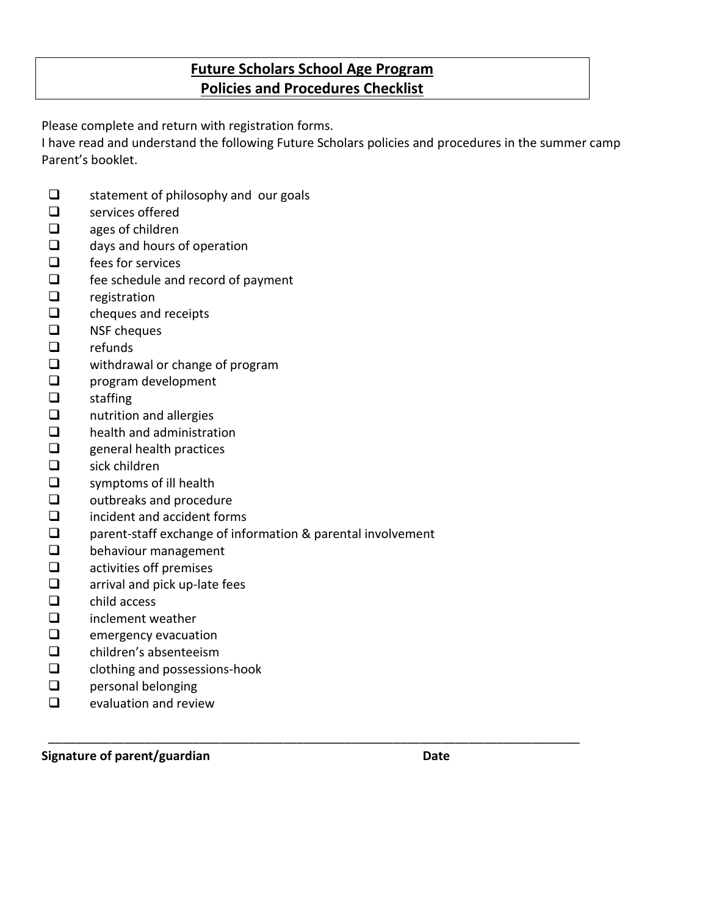# **Future Scholars School Age Program Policies and Procedures Checklist**

Please complete and return with registration forms.

I have read and understand the following Future Scholars policies and procedures in the summer camp Parent's booklet.

- $\Box$  statement of philosophy and our goals
- $\Box$  services offered
- $\Box$  ages of children
- $\Box$  days and hours of operation
- $\Box$  fees for services
- $\Box$  fee schedule and record of payment
- $\Box$  registration
- $\Box$  cheques and receipts
- $\Box$  NSF cheques
- $\Box$  refunds
- $\Box$  withdrawal or change of program
- **Q** program development
- $\Box$  staffing
- $\Box$  nutrition and allergies
- $\Box$  health and administration
- $\Box$  general health practices
- $\Box$  sick children
- $\Box$  symptoms of ill health
- $\Box$  outbreaks and procedure
- $\Box$  incident and accident forms
- □ parent-staff exchange of information & parental involvement

\_\_\_\_\_\_\_\_\_\_\_\_\_\_\_\_\_\_\_\_\_\_\_\_\_\_\_\_\_\_\_\_\_\_\_\_\_\_\_\_\_\_\_\_\_\_\_\_\_\_\_\_\_\_\_\_\_\_\_\_\_\_\_\_\_\_\_\_\_\_\_\_\_\_\_\_\_

- D behaviour management
- $\Box$  activities off premises
- $\Box$  arrival and pick up-late fees
- $\Box$  child access
- $\Box$  inclement weather
- $\Box$  emergency evacuation
- □ children's absenteeism
- $\Box$  clothing and possessions-hook
- $\Box$  personal belonging
- $\Box$  evaluation and review

**Signature of parent/guardian Date**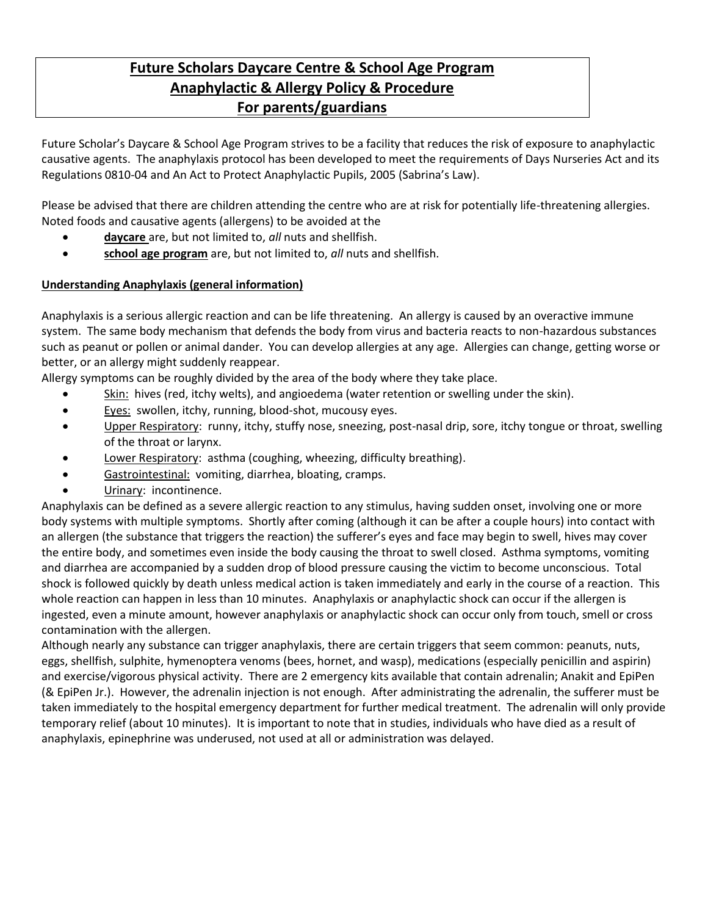# **Future Scholars Daycare Centre & School Age Program Anaphylactic & Allergy Policy & Procedure For parents/guardians**

Future Scholar's Daycare & School Age Program strives to be a facility that reduces the risk of exposure to anaphylactic causative agents. The anaphylaxis protocol has been developed to meet the requirements of Days Nurseries Act and its Regulations 0810-04 and An Act to Protect Anaphylactic Pupils, 2005 (Sabrina's Law).

Please be advised that there are children attending the centre who are at risk for potentially life-threatening allergies. Noted foods and causative agents (allergens) to be avoided at the

- **daycare** are, but not limited to, *all* nuts and shellfish.
- **school age program** are, but not limited to, *all* nuts and shellfish.

### **Understanding Anaphylaxis (general information)**

Anaphylaxis is a serious allergic reaction and can be life threatening. An allergy is caused by an overactive immune system. The same body mechanism that defends the body from virus and bacteria reacts to non-hazardous substances such as peanut or pollen or animal dander. You can develop allergies at any age. Allergies can change, getting worse or better, or an allergy might suddenly reappear.

Allergy symptoms can be roughly divided by the area of the body where they take place.

- Skin: hives (red, itchy welts), and angioedema (water retention or swelling under the skin).
- Eyes: swollen, itchy, running, blood-shot, mucousy eyes.
- Upper Respiratory: runny, itchy, stuffy nose, sneezing, post-nasal drip, sore, itchy tongue or throat, swelling of the throat or larynx.
- Lower Respiratory: asthma (coughing, wheezing, difficulty breathing).
- Gastrointestinal: vomiting, diarrhea, bloating, cramps.
- Urinary: incontinence.

Anaphylaxis can be defined as a severe allergic reaction to any stimulus, having sudden onset, involving one or more body systems with multiple symptoms. Shortly after coming (although it can be after a couple hours) into contact with an allergen (the substance that triggers the reaction) the sufferer's eyes and face may begin to swell, hives may cover the entire body, and sometimes even inside the body causing the throat to swell closed. Asthma symptoms, vomiting and diarrhea are accompanied by a sudden drop of blood pressure causing the victim to become unconscious. Total shock is followed quickly by death unless medical action is taken immediately and early in the course of a reaction. This whole reaction can happen in less than 10 minutes. Anaphylaxis or anaphylactic shock can occur if the allergen is ingested, even a minute amount, however anaphylaxis or anaphylactic shock can occur only from touch, smell or cross contamination with the allergen.

Although nearly any substance can trigger anaphylaxis, there are certain triggers that seem common: peanuts, nuts, eggs, shellfish, sulphite, hymenoptera venoms (bees, hornet, and wasp), medications (especially penicillin and aspirin) and exercise/vigorous physical activity. There are 2 emergency kits available that contain adrenalin; Anakit and EpiPen (& EpiPen Jr.). However, the adrenalin injection is not enough. After administrating the adrenalin, the sufferer must be taken immediately to the hospital emergency department for further medical treatment. The adrenalin will only provide temporary relief (about 10 minutes). It is important to note that in studies, individuals who have died as a result of anaphylaxis, epinephrine was underused, not used at all or administration was delayed.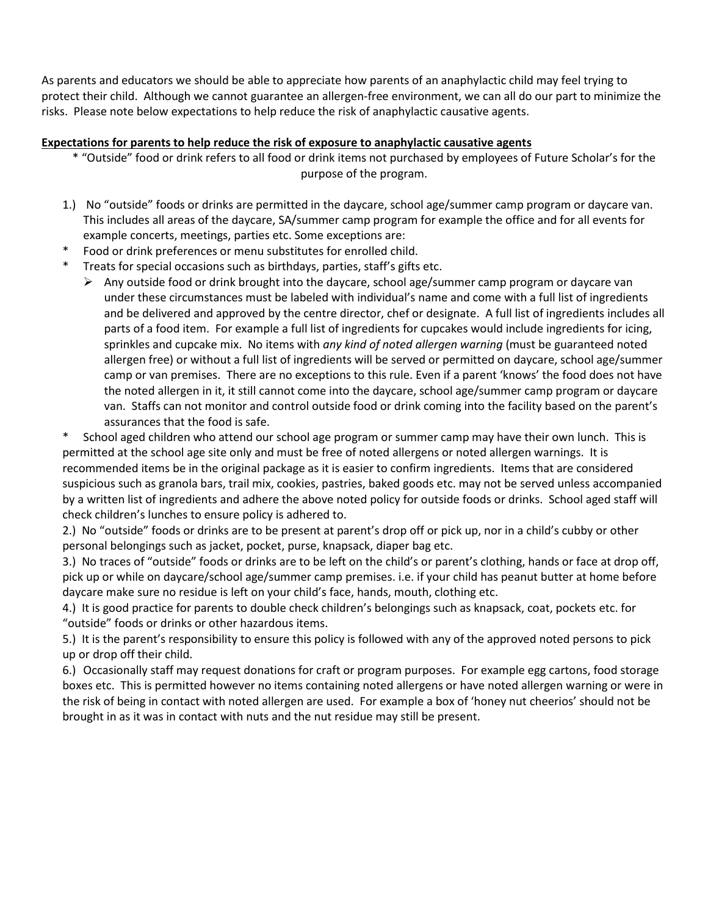As parents and educators we should be able to appreciate how parents of an anaphylactic child may feel trying to protect their child. Although we cannot guarantee an allergen-free environment, we can all do our part to minimize the risks. Please note below expectations to help reduce the risk of anaphylactic causative agents.

### **Expectations for parents to help reduce the risk of exposure to anaphylactic causative agents**

- \* "Outside" food or drink refers to all food or drink items not purchased by employees of Future Scholar's for the purpose of the program.
- 1.) No "outside" foods or drinks are permitted in the daycare, school age/summer camp program or daycare van. This includes all areas of the daycare, SA/summer camp program for example the office and for all events for example concerts, meetings, parties etc. Some exceptions are:
- Food or drink preferences or menu substitutes for enrolled child.
- \* Treats for special occasions such as birthdays, parties, staff's gifts etc.
	- $\triangleright$  Any outside food or drink brought into the daycare, school age/summer camp program or daycare van under these circumstances must be labeled with individual's name and come with a full list of ingredients and be delivered and approved by the centre director, chef or designate. A full list of ingredients includes all parts of a food item. For example a full list of ingredients for cupcakes would include ingredients for icing, sprinkles and cupcake mix. No items with *any kind of noted allergen warning* (must be guaranteed noted allergen free) or without a full list of ingredients will be served or permitted on daycare, school age/summer camp or van premises. There are no exceptions to this rule. Even if a parent 'knows' the food does not have the noted allergen in it, it still cannot come into the daycare, school age/summer camp program or daycare van. Staffs can not monitor and control outside food or drink coming into the facility based on the parent's assurances that the food is safe.

School aged children who attend our school age program or summer camp may have their own lunch. This is permitted at the school age site only and must be free of noted allergens or noted allergen warnings. It is recommended items be in the original package as it is easier to confirm ingredients. Items that are considered suspicious such as granola bars, trail mix, cookies, pastries, baked goods etc. may not be served unless accompanied by a written list of ingredients and adhere the above noted policy for outside foods or drinks. School aged staff will check children's lunches to ensure policy is adhered to.

2.) No "outside" foods or drinks are to be present at parent's drop off or pick up, nor in a child's cubby or other personal belongings such as jacket, pocket, purse, knapsack, diaper bag etc.

3.) No traces of "outside" foods or drinks are to be left on the child's or parent's clothing, hands or face at drop off, pick up or while on daycare/school age/summer camp premises. i.e. if your child has peanut butter at home before daycare make sure no residue is left on your child's face, hands, mouth, clothing etc.

4.) It is good practice for parents to double check children's belongings such as knapsack, coat, pockets etc. for "outside" foods or drinks or other hazardous items.

5.) It is the parent's responsibility to ensure this policy is followed with any of the approved noted persons to pick up or drop off their child.

6.) Occasionally staff may request donations for craft or program purposes. For example egg cartons, food storage boxes etc. This is permitted however no items containing noted allergens or have noted allergen warning or were in the risk of being in contact with noted allergen are used. For example a box of 'honey nut cheerios' should not be brought in as it was in contact with nuts and the nut residue may still be present.